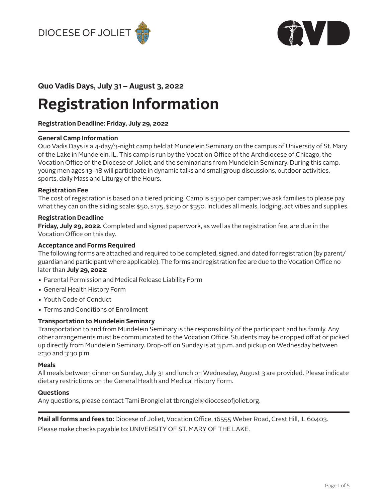



# **Registration Information**

**Registration Deadline: Friday, July 29, 2022**

# **General Camp Information**

Quo Vadis Days is a 4-day/3-night camp held at Mundelein Seminary on the campus of University of St. Mary of the Lake in Mundelein, IL. This camp is run by the Vocation Office of the Archdiocese of Chicago, the Vocation Office of the Diocese of Joliet, and the seminarians from Mundelein Seminary. During this camp, young men ages 13–18 will participate in dynamic talks and small group discussions, outdoor activities, sports, daily Mass and Liturgy of the Hours.

# **Registration Fee**

The cost of registration is based on a tiered pricing. Camp is \$350 per camper; we ask families to please pay what they can on the sliding scale: \$50, \$175, \$250 or \$350. Includes all meals, lodging, activities and supplies.

# **Registration Deadline**

**Friday, July 29, 2022.** Completed and signed paperwork, as well as the registration fee, are due in the Vocation Office on this day.

# **Acceptance and Forms Required**

The following forms are attached and required to be completed, signed, and dated for registration (by parent/ guardian and participant where applicable). The forms and registration fee are due to the Vocation Office no later than **July 29, 2022**:

- **•** Parental Permission and Medical Release Liability Form
- **•** General Health History Form
- **•** Youth Code of Conduct
- **•** Terms and Conditions of Enrollment

### **Transportation to Mundelein Seminary**

Transportation to and from Mundelein Seminary is the responsibility of the participant and his family. Any other arrangements must be communicated to the Vocation Office. Students may be dropped off at or picked up directly from Mundelein Seminary. Drop-off on Sunday is at 3 p.m. and pickup on Wednesday between 2:30 and 3:30 p.m.

# **Meals**

All meals between dinner on Sunday, July 31 and lunch on Wednesday, August 3 are provided. Please indicate dietary restrictions on the General Health and Medical History Form.

### **Questions**

Any questions, please contact Tami Brongiel at [tbrongiel@dioceseofjoliet.org](mailto:tbrongiel%40dioceseofjoliet.org?subject=).

**Mail all forms and fees to:** Diocese of Joliet, Vocation Office, 16555 Weber Road, Crest Hill, IL 60403. Please make checks payable to: UNIVERSITY OF ST. MARY OF THE LAKE.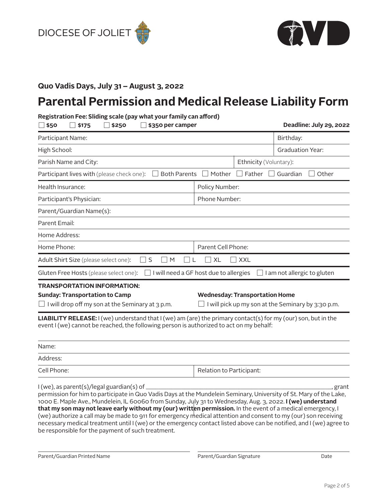



# **Parental Permission and Medical Release Liability Form**

# **Registration Fee: Sliding scale (pay what your family can afford)**

| \$50<br>\$175<br>\$250<br>\$350 per camper                                                                                                                                                                                                                                                                                                                                                                                                                                                                     | Deadline: July 29, 2022                                                                          |  |  |
|----------------------------------------------------------------------------------------------------------------------------------------------------------------------------------------------------------------------------------------------------------------------------------------------------------------------------------------------------------------------------------------------------------------------------------------------------------------------------------------------------------------|--------------------------------------------------------------------------------------------------|--|--|
| Participant Name:                                                                                                                                                                                                                                                                                                                                                                                                                                                                                              | Birthday:                                                                                        |  |  |
| High School:                                                                                                                                                                                                                                                                                                                                                                                                                                                                                                   | <b>Graduation Year:</b>                                                                          |  |  |
| Parish Name and City:                                                                                                                                                                                                                                                                                                                                                                                                                                                                                          | Ethnicity (Voluntary):                                                                           |  |  |
| Participant lives with (please check one):                                                                                                                                                                                                                                                                                                                                                                                                                                                                     | $\Box$ Both Parents $\Box$ Mother $\Box$ Father<br>Other<br>Guardian<br>$\overline{\phantom{a}}$ |  |  |
| Health Insurance:                                                                                                                                                                                                                                                                                                                                                                                                                                                                                              | Policy Number:                                                                                   |  |  |
| Participant's Physician:                                                                                                                                                                                                                                                                                                                                                                                                                                                                                       | Phone Number:                                                                                    |  |  |
| Parent/Guardian Name(s):                                                                                                                                                                                                                                                                                                                                                                                                                                                                                       |                                                                                                  |  |  |
| Parent Email:                                                                                                                                                                                                                                                                                                                                                                                                                                                                                                  |                                                                                                  |  |  |
| Home Address:                                                                                                                                                                                                                                                                                                                                                                                                                                                                                                  |                                                                                                  |  |  |
| Home Phone:                                                                                                                                                                                                                                                                                                                                                                                                                                                                                                    | Parent Cell Phone:                                                                               |  |  |
| Adult Shirt Size (please select one):<br>$\Box$ S<br>$\Box$ M                                                                                                                                                                                                                                                                                                                                                                                                                                                  | $\vert$ XL<br><b>XXL</b>                                                                         |  |  |
| Gluten Free Hosts (please select one):                                                                                                                                                                                                                                                                                                                                                                                                                                                                         | $\Box$ I will need a GF host due to allergies<br>I am not allergic to gluten                     |  |  |
| <b>TRANSPORTATION INFORMATION:</b><br><b>Sunday: Transportation to Camp</b><br>$\Box$ I will drop off my son at the Seminary at 3 p.m.                                                                                                                                                                                                                                                                                                                                                                         | <b>Wednesday: Transportation Home</b><br>I will pick up my son at the Seminary by 3:30 p.m.      |  |  |
| LIABILITY RELEASE: I (we) understand that I (we) am (are) the primary contact(s) for my (our) son, but in the<br>event I (we) cannot be reached, the following person is authorized to act on my behalf:                                                                                                                                                                                                                                                                                                       |                                                                                                  |  |  |
| Name:                                                                                                                                                                                                                                                                                                                                                                                                                                                                                                          |                                                                                                  |  |  |
| Address:                                                                                                                                                                                                                                                                                                                                                                                                                                                                                                       |                                                                                                  |  |  |
| Cell Phone:                                                                                                                                                                                                                                                                                                                                                                                                                                                                                                    | Relation to Participant:                                                                         |  |  |
| I (we), as parent(s)/legal guardian(s) of<br>permission for him to participate in Quo Vadis Days at the Mundelein Seminary, University of St. Mary of the Lake,<br>1000 E. Maple Ave., Mundelein, IL 60060 from Sunday, July 31 to Wednesday, Aug. 3, 2022. I (we) understand<br>that my son may not leave early without my (our) written permission. In the event of a medical emergency, I<br>(us) suthorize a call may be made to 011 for emergency modical attention and concent to my (our) can receiving | grant                                                                                            |  |  |

(we) authorize a call may be made to 911 for emergency medical attention and consent to my (our) son receiving necessary medical treatment until I (we) or the emergency contact listed above can be notified, and I (we) agree to be responsible for the payment of such treatment.

Parent/Guardian Printed Name **Parent/Guardian Signature** Parent/Guardian Signature Date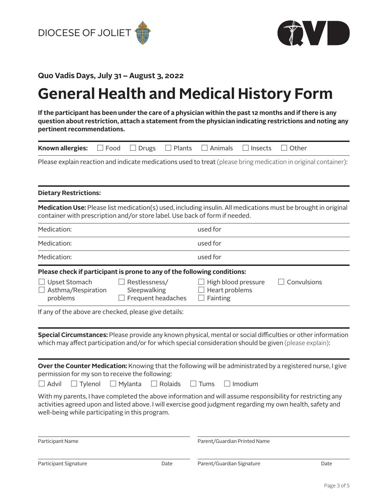



# **General Health and Medical History Form**

**If the participant has been under the care of a physician within the past 12 months and if there is any question about restriction, attach a statement from the physician indicating restrictions and noting any pertinent recommendations.**

| Known allergies:<br>$\Box$ Food                                                                                                                                                                                                                                                                                                                                                                                                                                                                                                                        | $\Box$ Plants<br>$\Box$ Drugs                       | Animals<br>Insects                                              | □ Other     |  |  |
|--------------------------------------------------------------------------------------------------------------------------------------------------------------------------------------------------------------------------------------------------------------------------------------------------------------------------------------------------------------------------------------------------------------------------------------------------------------------------------------------------------------------------------------------------------|-----------------------------------------------------|-----------------------------------------------------------------|-------------|--|--|
| Please explain reaction and indicate medications used to treat (please bring medication in original container):                                                                                                                                                                                                                                                                                                                                                                                                                                        |                                                     |                                                                 |             |  |  |
| <b>Dietary Restrictions:</b>                                                                                                                                                                                                                                                                                                                                                                                                                                                                                                                           |                                                     |                                                                 |             |  |  |
| Medication Use: Please list medication(s) used, including insulin. All medications must be brought in original<br>container with prescription and/or store label. Use back of form if needed.                                                                                                                                                                                                                                                                                                                                                          |                                                     |                                                                 |             |  |  |
| Medication:                                                                                                                                                                                                                                                                                                                                                                                                                                                                                                                                            |                                                     | used for                                                        |             |  |  |
| Medication:                                                                                                                                                                                                                                                                                                                                                                                                                                                                                                                                            |                                                     | used for                                                        |             |  |  |
| Medication:                                                                                                                                                                                                                                                                                                                                                                                                                                                                                                                                            |                                                     | used for                                                        |             |  |  |
| Please check if participant is prone to any of the following conditions:<br>$\Box$ Upset Stomach<br>$\Box$ Asthma/Respiration<br>problems<br>If any of the above are checked, please give details:<br>Special Circumstances: Please provide any known physical, mental or social difficulties or other information                                                                                                                                                                                                                                     | Restlessness/<br>Sleepwalking<br>Frequent headaches | $\Box$ High blood pressure<br>Heart problems<br>$\Box$ Fainting | Convulsions |  |  |
| which may affect participation and/or for which special consideration should be given (please explain):<br>Over the Counter Medication: Knowing that the following will be administrated by a registered nurse, I give<br>permission for my son to receive the following:<br>$\Box$ Tylenol<br>l l Advil<br>$\Box$ Mylanta<br>With my parents, I have completed the above information and will assume responsibility for restricting any<br>activities agreed upon and listed above. I will exercise good judgment regarding my own health, safety and | $\Box$ Rolaids                                      | $\Box$ Tums<br>  Imodium                                        |             |  |  |
| well-being while participating in this program.<br>Participant Name                                                                                                                                                                                                                                                                                                                                                                                                                                                                                    |                                                     | Parent/Guardian Printed Name                                    |             |  |  |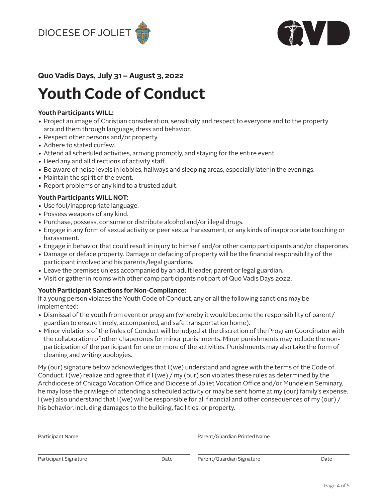



# **Youth Code of Conduct**

# **Youth Participants WILL:**

- **•** Project an image of Christian consideration, sensitivity and respect to everyone and to the property around them through language, dress and behavior.
- **•** Respect other persons and/or property.
- **•** Adhere to stated curfew.
- **•** Attend all scheduled activities, arriving promptly, and staying for the entire event.
- **•** Heed any and all directions of activity staff.
- **•** Be aware of noise levels in lobbies, hallways and sleeping areas, especially later in the evenings.
- **•** Maintain the spirit of the event.
- **•** Report problems of any kind to a trusted adult.

# **Youth Participants WILL NOT:**

- **•** Use foul/inappropriate language.
- **•** Possess weapons of any kind.
- **•** Purchase, possess, consume or distribute alcohol and/or illegal drugs.
- **•** Engage in any form of sexual activity or peer sexual harassment, or any kinds of inappropriate touching or harassment.
- **•** Engage in behavior that could result in injury to himself and/or other camp participants and/or chaperones.
- **•** Damage or deface property. Damage or defacing of property will be the financial responsibility of the participant involved and his parents/legal guardians.
- **•** Leave the premises unless accompanied by an adult leader, parent or legal guardian.
- **•** Visit or gather in rooms with other camp participants not part of Quo Vadis Days 2022.

# **Youth Participant Sanctions for Non-Compliance:**

If a young person violates the Youth Code of Conduct, any or all the following sanctions may be implemented:

- **•** Dismissal of the youth from event or program (whereby it would become the responsibility of parent/ guardian to ensure timely, accompanied, and safe transportation home).
- **•** Minor violations of the Rules of Conduct will be judged at the discretion of the Program Coordinator with the collaboration of other chaperones for minor punishments. Minor punishments may include the nonparticipation of the participant for one or more of the activities. Punishments may also take the form of cleaning and writing apologies.

My (our) signature below acknowledges that I (we) understand and agree with the terms of the Code of Conduct. I (we) realize and agree that if I (we) / my (our) son violates these rules as determined by the Archdiocese of Chicago Vocation Office and Diocese of Joliet Vocation Office and/or Mundelein Seminary, he may lose the privilege of attending a scheduled activity or may be sent home at my (our) family's expense. I (we) also understand that I (we) will be responsible for all financial and other consequences of my (our) / his behavior, including damages to the building, facilities, or property.

| Participant Name      |      | Parent/Guardian Printed Name |      |  |
|-----------------------|------|------------------------------|------|--|
| Participant Signature | Date | Parent/Guardian Signature    | Date |  |